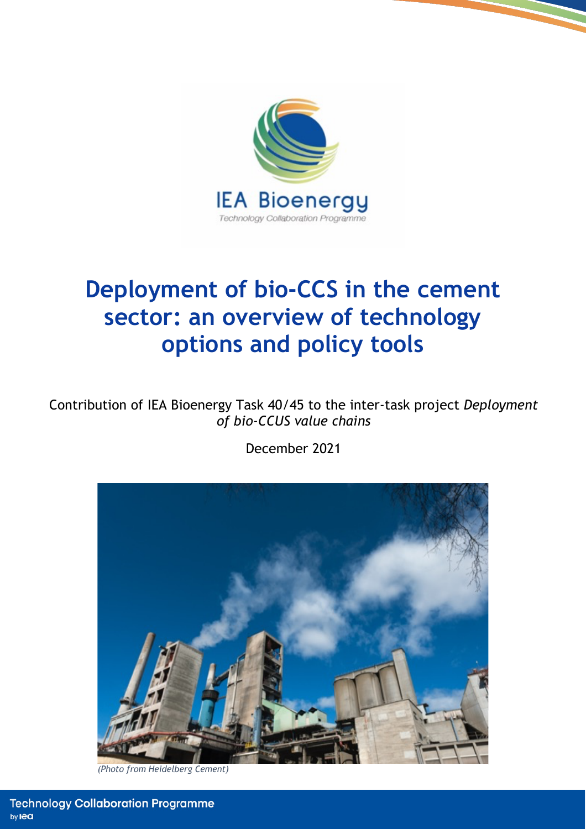

# **Deployment of bio-CCS in the cement sector: an overview of technology options and policy tools**

Contribution of IEA Bioenergy Task 40/45 to the inter-task project *Deployment of bio-CCUS value chains*

December 2021



*(Photo from Heidelberg Cement)*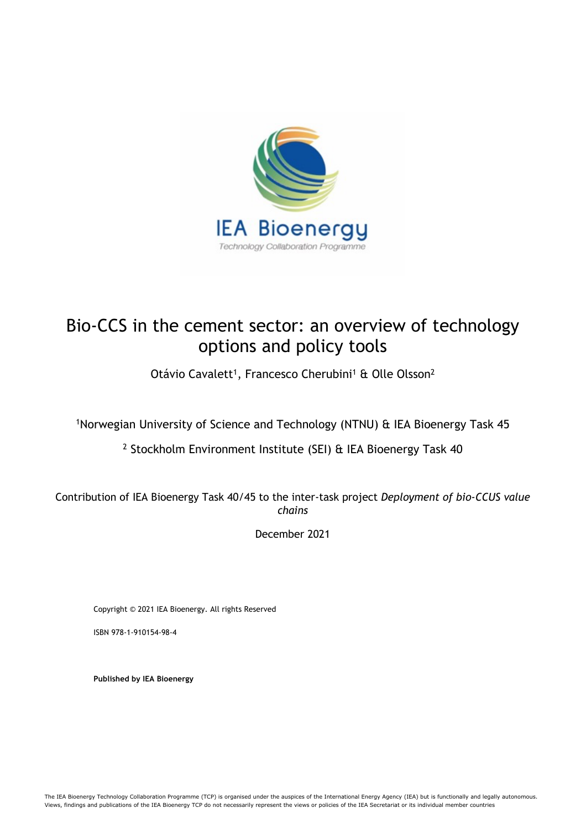

# Bio-CCS in the cement sector: an overview of technology options and policy tools

Otávio Cavalett<sup>1</sup>, Francesco Cherubini<sup>1</sup> & Olle Olsson<sup>2</sup>

1Norwegian University of Science and Technology (NTNU) & IEA Bioenergy Task 45

<sup>2</sup> Stockholm Environment Institute (SEI) & IEA Bioenergy Task 40

Contribution of IEA Bioenergy Task 40/45 to the inter-task project *Deployment of bio-CCUS value chains*

December 2021

Copyright © 2021 IEA Bioenergy. All rights Reserved

ISBN 978-1-910154-98-4

**Published by IEA Bioenergy**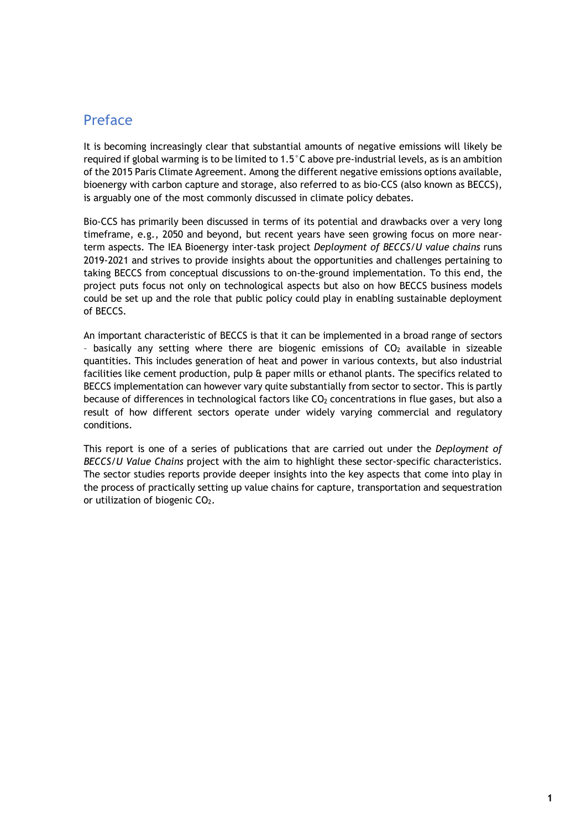### Preface

It is becoming increasingly clear that substantial amounts of negative emissions will likely be required if global warming is to be limited to 1.5°C above pre-industrial levels, as is an ambition of the 2015 Paris Climate Agreement. Among the different negative emissions options available, bioenergy with carbon capture and storage, also referred to as bio-CCS (also known as BECCS), is arguably one of the most commonly discussed in climate policy debates.

Bio-CCS has primarily been discussed in terms of its potential and drawbacks over a very long timeframe, e.g., 2050 and beyond, but recent years have seen growing focus on more nearterm aspects. The IEA Bioenergy inter-task project *Deployment of BECCS/U value chains* runs 2019-2021 and strives to provide insights about the opportunities and challenges pertaining to taking BECCS from conceptual discussions to on-the-ground implementation. To this end, the project puts focus not only on technological aspects but also on how BECCS business models could be set up and the role that public policy could play in enabling sustainable deployment of BECCS.

An important characteristic of BECCS is that it can be implemented in a broad range of sectors - basically any setting where there are biogenic emissions of  $CO<sub>2</sub>$  available in sizeable quantities. This includes generation of heat and power in various contexts, but also industrial facilities like cement production, pulp & paper mills or ethanol plants. The specifics related to BECCS implementation can however vary quite substantially from sector to sector. This is partly because of differences in technological factors like CO<sub>2</sub> concentrations in flue gases, but also a result of how different sectors operate under widely varying commercial and regulatory conditions.

This report is one of a series of publications that are carried out under the *Deployment of BECCS/U Value Chains* project with the aim to highlight these sector-specific characteristics. The sector studies reports provide deeper insights into the key aspects that come into play in the process of practically setting up value chains for capture, transportation and sequestration or utilization of biogenic CO<sub>2</sub>.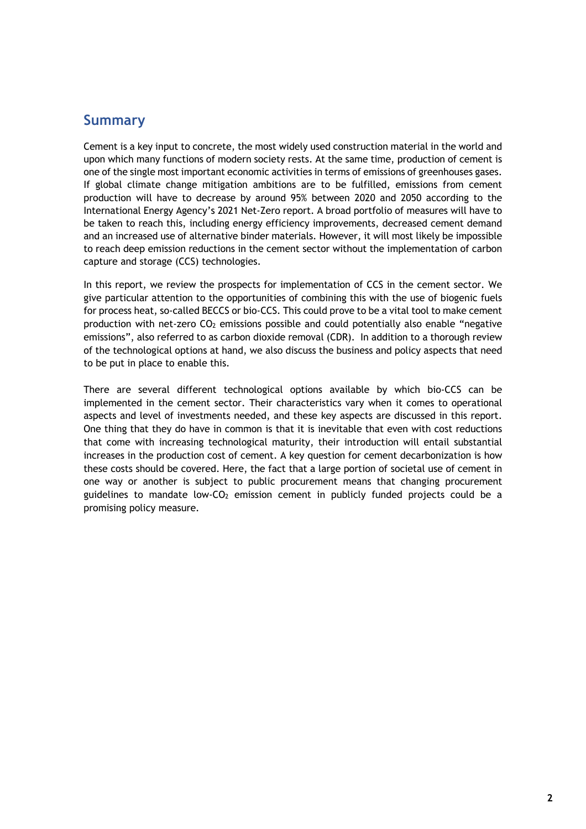## **Summary**

Cement is a key input to concrete, the most widely used construction material in the world and upon which many functions of modern society rests. At the same time, production of cement is one of the single most important economic activities in terms of emissions of greenhouses gases. If global climate change mitigation ambitions are to be fulfilled, emissions from cement production will have to decrease by around 95% between 2020 and 2050 according to the International Energy Agency's 2021 Net-Zero report. A broad portfolio of measures will have to be taken to reach this, including energy efficiency improvements, decreased cement demand and an increased use of alternative binder materials. However, it will most likely be impossible to reach deep emission reductions in the cement sector without the implementation of carbon capture and storage (CCS) technologies.

In this report, we review the prospects for implementation of CCS in the cement sector. We give particular attention to the opportunities of combining this with the use of biogenic fuels for process heat, so-called BECCS or bio-CCS. This could prove to be a vital tool to make cement production with net-zero  $CO<sub>2</sub>$  emissions possible and could potentially also enable "negative emissions", also referred to as carbon dioxide removal (CDR). In addition to a thorough review of the technological options at hand, we also discuss the business and policy aspects that need to be put in place to enable this.

There are several different technological options available by which bio-CCS can be implemented in the cement sector. Their characteristics vary when it comes to operational aspects and level of investments needed, and these key aspects are discussed in this report. One thing that they do have in common is that it is inevitable that even with cost reductions that come with increasing technological maturity, their introduction will entail substantial increases in the production cost of cement. A key question for cement decarbonization is how these costs should be covered. Here, the fact that a large portion of societal use of cement in one way or another is subject to public procurement means that changing procurement guidelines to mandate low-CO2 emission cement in publicly funded projects could be a promising policy measure.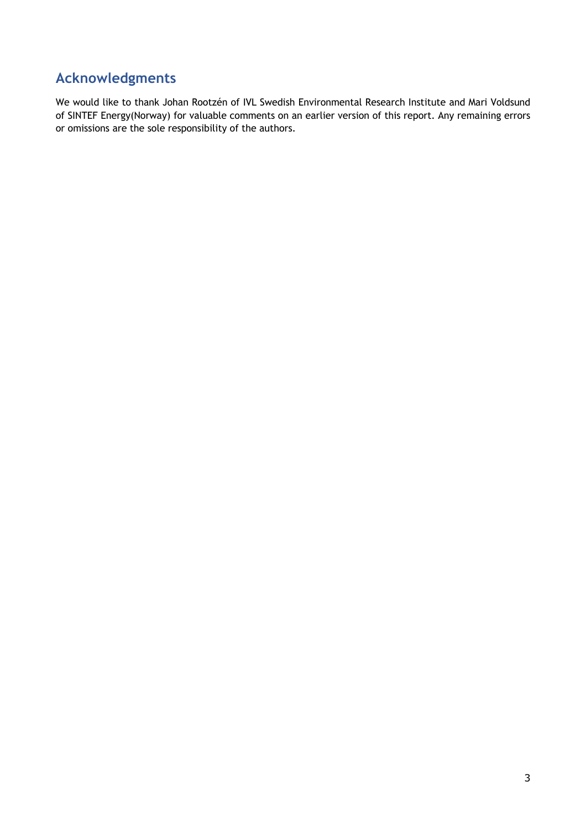# **Acknowledgments**

We would like to thank Johan Rootzén of IVL Swedish Environmental Research Institute and Mari Voldsund of SINTEF Energy(Norway) for valuable comments on an earlier version of this report. Any remaining errors or omissions are the sole responsibility of the authors.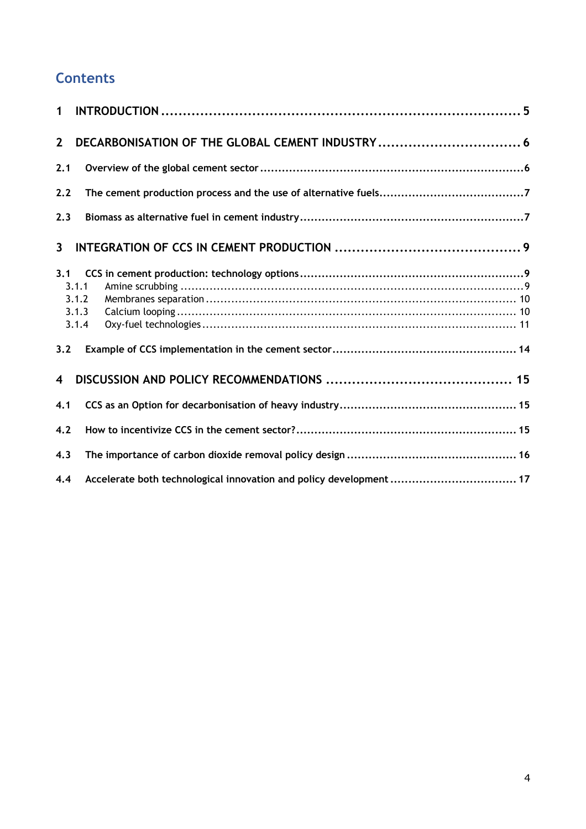# **Contents**

| $\mathbf 1$             |                                                                    |  |
|-------------------------|--------------------------------------------------------------------|--|
| $2^{\circ}$             |                                                                    |  |
|                         |                                                                    |  |
| 2.1                     |                                                                    |  |
| 2.2                     |                                                                    |  |
| 2.3                     |                                                                    |  |
| $\mathbf{3}$            |                                                                    |  |
| 3.1                     |                                                                    |  |
|                         | 3.1.1<br>3.1.2                                                     |  |
|                         | 3.1.3                                                              |  |
|                         | 3.1.4                                                              |  |
| 3.2                     |                                                                    |  |
| $\overline{\mathbf{4}}$ |                                                                    |  |
| 4.1                     |                                                                    |  |
| 4.2                     |                                                                    |  |
| 4.3                     |                                                                    |  |
| 4.4                     | Accelerate both technological innovation and policy development 17 |  |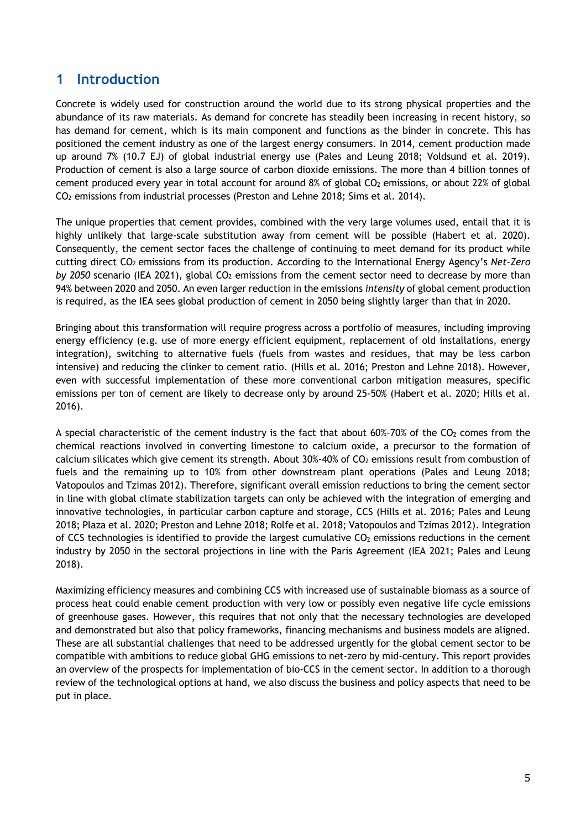### **1 Introduction**

Concrete is widely used for construction around the world due to its strong physical properties and the abundance of its raw materials. As demand for concrete has steadily been increasing in recent history, so has demand for cement, which is its main component and functions as the binder in concrete. This has positioned the cement industry as one of the largest energy consumers. In 2014, cement production made up around 7% (10.7 EJ) of global industrial energy use (Pales and Leung 2018; Voldsund et al. 2019). Production of cement is also a large source of carbon dioxide emissions. The more than 4 billion tonnes of cement produced every year in total account for around 8% of global CO2 emissions, or about 22% of global CO2 emissions from industrial processes (Preston and Lehne 2018; Sims et al. 2014).

The unique properties that cement provides, combined with the very large volumes used, entail that it is highly unlikely that large-scale substitution away from cement will be possible (Habert et al. 2020). Consequently, the cement sector faces the challenge of continuing to meet demand for its product while cutting direct CO2 emissions from its production. According to the International Energy Agency's *Net-Zero by 2050* scenario (IEA 2021), global CO2 emissions from the cement sector need to decrease by more than 94% between 2020 and 2050. An even larger reduction in the emissions *intensity* of global cement production is required, as the IEA sees global production of cement in 2050 being slightly larger than that in 2020.

Bringing about this transformation will require progress across a portfolio of measures, including improving energy efficiency (e.g. use of more energy efficient equipment, replacement of old installations, energy integration), switching to alternative fuels (fuels from wastes and residues, that may be less carbon intensive) and reducing the clinker to cement ratio. (Hills et al. 2016; Preston and Lehne 2018). However, even with successful implementation of these more conventional carbon mitigation measures, specific emissions per ton of cement are likely to decrease only by around 25-50% (Habert et al. 2020; Hills et al. 2016).

A special characteristic of the cement industry is the fact that about  $60\%$ -70% of the CO<sub>2</sub> comes from the chemical reactions involved in converting limestone to calcium oxide, a precursor to the formation of calcium silicates which give cement its strength. About  $30\%$ -40% of  $CO<sub>2</sub>$  emissions result from combustion of fuels and the remaining up to 10% from other downstream plant operations (Pales and Leung 2018; Vatopoulos and Tzimas 2012). Therefore, significant overall emission reductions to bring the cement sector in line with global climate stabilization targets can only be achieved with the integration of emerging and innovative technologies, in particular carbon capture and storage, CCS (Hills et al. 2016; Pales and Leung 2018; Plaza et al. 2020; Preston and Lehne 2018; Rolfe et al. 2018; Vatopoulos and Tzimas 2012). Integration of CCS technologies is identified to provide the largest cumulative  $CO<sub>2</sub>$  emissions reductions in the cement industry by 2050 in the sectoral projections in line with the Paris Agreement (IEA 2021; Pales and Leung 2018).

Maximizing efficiency measures and combining CCS with increased use of sustainable biomass as a source of process heat could enable cement production with very low or possibly even negative life cycle emissions of greenhouse gases. However, this requires that not only that the necessary technologies are developed and demonstrated but also that policy frameworks, financing mechanisms and business models are aligned. These are all substantial challenges that need to be addressed urgently for the global cement sector to be compatible with ambitions to reduce global GHG emissions to net-zero by mid-century. This report provides an overview of the prospects for implementation of bio-CCS in the cement sector. In addition to a thorough review of the technological options at hand, we also discuss the business and policy aspects that need to be put in place.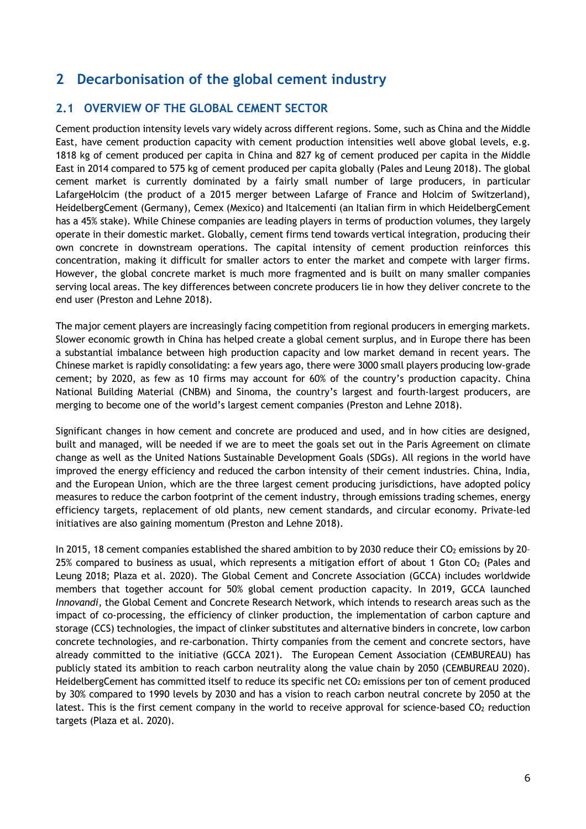# **2 Decarbonisation of the global cement industry**

#### **2.1 OVERVIEW OF THE GLOBAL CEMENT SECTOR**

Cement production intensity levels vary widely across different regions. Some, such as China and the Middle East, have cement production capacity with cement production intensities well above global levels, e.g. 1818 kg of cement produced per capita in China and 827 kg of cement produced per capita in the Middle East in 2014 compared to 575 kg of cement produced per capita globally (Pales and Leung 2018). The global cement market is currently dominated by a fairly small number of large producers, in particular LafargeHolcim (the product of a 2015 merger between Lafarge of France and Holcim of Switzerland), HeidelbergCement (Germany), Cemex (Mexico) and Italcementi (an Italian firm in which HeidelbergCement has a 45% stake). While Chinese companies are leading players in terms of production volumes, they largely operate in their domestic market. Globally, cement firms tend towards vertical integration, producing their own concrete in downstream operations. The capital intensity of cement production reinforces this concentration, making it difficult for smaller actors to enter the market and compete with larger firms. However, the global concrete market is much more fragmented and is built on many smaller companies serving local areas. The key differences between concrete producers lie in how they deliver concrete to the end user (Preston and Lehne 2018).

The major cement players are increasingly facing competition from regional producers in emerging markets. Slower economic growth in China has helped create a global cement surplus, and in Europe there has been a substantial imbalance between high production capacity and low market demand in recent years. The Chinese market is rapidly consolidating: a few years ago, there were 3000 small players producing low-grade cement; by 2020, as few as 10 firms may account for 60% of the country's production capacity. China National Building Material (CNBM) and Sinoma, the country's largest and fourth-largest producers, are merging to become one of the world's largest cement companies (Preston and Lehne 2018).

Significant changes in how cement and concrete are produced and used, and in how cities are designed, built and managed, will be needed if we are to meet the goals set out in the Paris Agreement on climate change as well as the United Nations Sustainable Development Goals (SDGs). All regions in the world have improved the energy efficiency and reduced the carbon intensity of their cement industries. China, India, and the European Union, which are the three largest cement producing jurisdictions, have adopted policy measures to reduce the carbon footprint of the cement industry, through emissions trading schemes, energy efficiency targets, replacement of old plants, new cement standards, and circular economy. Private-led initiatives are also gaining momentum (Preston and Lehne 2018).

In 2015, 18 cement companies established the shared ambition to by 2030 reduce their CO<sub>2</sub> emissions by 20-25% compared to business as usual, which represents a mitigation effort of about 1 Gton CO2 (Pales and Leung 2018; Plaza et al. 2020). The Global Cement and Concrete Association (GCCA) includes worldwide members that together account for 50% global cement production capacity. In 2019, GCCA launched *Innovandi*, the Global Cement and Concrete Research Network, which intends to research areas such as the impact of co-processing, the efficiency of clinker production, the implementation of carbon capture and storage (CCS) technologies, the impact of clinker substitutes and alternative binders in concrete, low carbon concrete technologies, and re-carbonation. Thirty companies from the cement and concrete sectors, have already committed to the initiative (GCCA 2021). The European Cement Association (CEMBUREAU) has publicly stated its ambition to reach carbon neutrality along the value chain by 2050 (CEMBUREAU 2020). HeidelbergCement has committed itself to reduce its specific net CO<sub>2</sub> emissions per ton of cement produced by 30% compared to 1990 levels by 2030 and has a vision to reach carbon neutral concrete by 2050 at the latest. This is the first cement company in the world to receive approval for science-based  $CO<sub>2</sub>$  reduction targets (Plaza et al. 2020).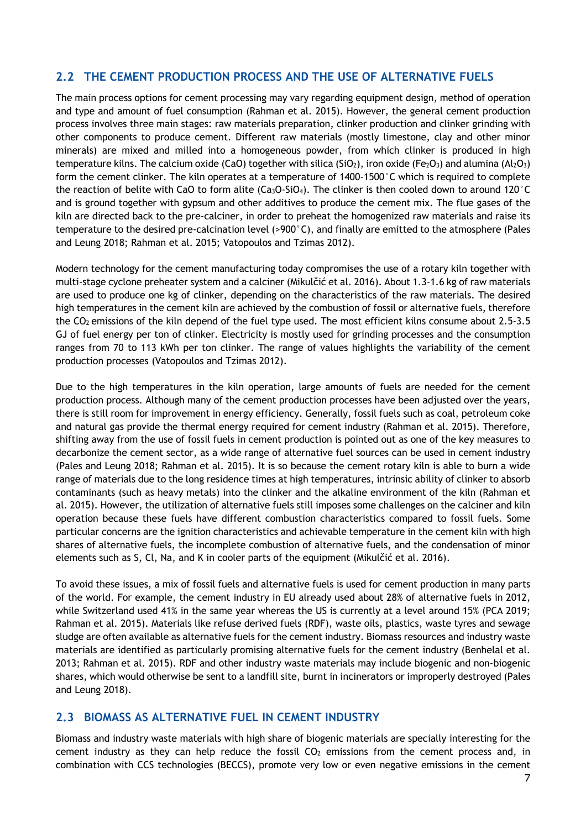#### **2.2 THE CEMENT PRODUCTION PROCESS AND THE USE OF ALTERNATIVE FUELS**

The main process options for cement processing may vary regarding equipment design, method of operation and type and amount of fuel consumption (Rahman et al. 2015). However, the general cement production process involves three main stages: raw materials preparation, clinker production and clinker grinding with other components to produce cement. Different raw materials (mostly limestone, clay and other minor minerals) are mixed and milled into a homogeneous powder, from which clinker is produced in high temperature kilns. The calcium oxide (CaO) together with silica (SiO<sub>2</sub>), iron oxide (Fe<sub>2</sub>O<sub>3</sub>) and alumina (Al<sub>2</sub>O<sub>3</sub>) form the cement clinker. The kiln operates at a temperature of 1400-1500°C which is required to complete the reaction of belite with CaO to form alite (Ca<sub>3</sub>O-SiO<sub>4</sub>). The clinker is then cooled down to around 120°C and is ground together with gypsum and other additives to produce the cement mix. The flue gases of the kiln are directed back to the pre-calciner, in order to preheat the homogenized raw materials and raise its temperature to the desired pre-calcination level (>900°C), and finally are emitted to the atmosphere (Pales and Leung 2018; Rahman et al. 2015; Vatopoulos and Tzimas 2012).

Modern technology for the cement manufacturing today compromises the use of a rotary kiln together with multi-stage cyclone preheater system and a calciner (Mikulčić et al. 2016). About 1.3-1.6 kg of raw materials are used to produce one kg of clinker, depending on the characteristics of the raw materials. The desired high temperatures in the cement kiln are achieved by the combustion of fossil or alternative fuels, therefore the CO<sub>2</sub> emissions of the kiln depend of the fuel type used. The most efficient kilns consume about 2.5-3.5 GJ of fuel energy per ton of clinker. Electricity is mostly used for grinding processes and the consumption ranges from 70 to 113 kWh per ton clinker. The range of values highlights the variability of the cement production processes (Vatopoulos and Tzimas 2012).

Due to the high temperatures in the kiln operation, large amounts of fuels are needed for the cement production process. Although many of the cement production processes have been adjusted over the years, there is still room for improvement in energy efficiency. Generally, fossil fuels such as coal, petroleum coke and natural gas provide the thermal energy required for cement industry (Rahman et al. 2015). Therefore, shifting away from the use of fossil fuels in cement production is pointed out as one of the key measures to decarbonize the cement sector, as a wide range of alternative fuel sources can be used in cement industry (Pales and Leung 2018; Rahman et al. 2015). It is so because the cement rotary kiln is able to burn a wide range of materials due to the long residence times at high temperatures, intrinsic ability of clinker to absorb contaminants (such as heavy metals) into the clinker and the alkaline environment of the kiln (Rahman et al. 2015). However, the utilization of alternative fuels still imposes some challenges on the calciner and kiln operation because these fuels have different combustion characteristics compared to fossil fuels. Some particular concerns are the ignition characteristics and achievable temperature in the cement kiln with high shares of alternative fuels, the incomplete combustion of alternative fuels, and the condensation of minor elements such as S, Cl, Na, and K in cooler parts of the equipment (Mikulčić et al. 2016).

To avoid these issues, a mix of fossil fuels and alternative fuels is used for cement production in many parts of the world. For example, the cement industry in EU already used about 28% of alternative fuels in 2012, while Switzerland used 41% in the same year whereas the US is currently at a level around 15% (PCA 2019; Rahman et al. 2015). Materials like refuse derived fuels (RDF), waste oils, plastics, waste tyres and sewage sludge are often available as alternative fuels for the cement industry. Biomass resources and industry waste materials are identified as particularly promising alternative fuels for the cement industry (Benhelal et al. 2013; Rahman et al. 2015). RDF and other industry waste materials may include biogenic and non-biogenic shares, which would otherwise be sent to a landfill site, burnt in incinerators or improperly destroyed (Pales and Leung 2018).

#### **2.3 BIOMASS AS ALTERNATIVE FUEL IN CEMENT INDUSTRY**

Biomass and industry waste materials with high share of biogenic materials are specially interesting for the cement industry as they can help reduce the fossil  $CO<sub>2</sub>$  emissions from the cement process and, in combination with CCS technologies (BECCS), promote very low or even negative emissions in the cement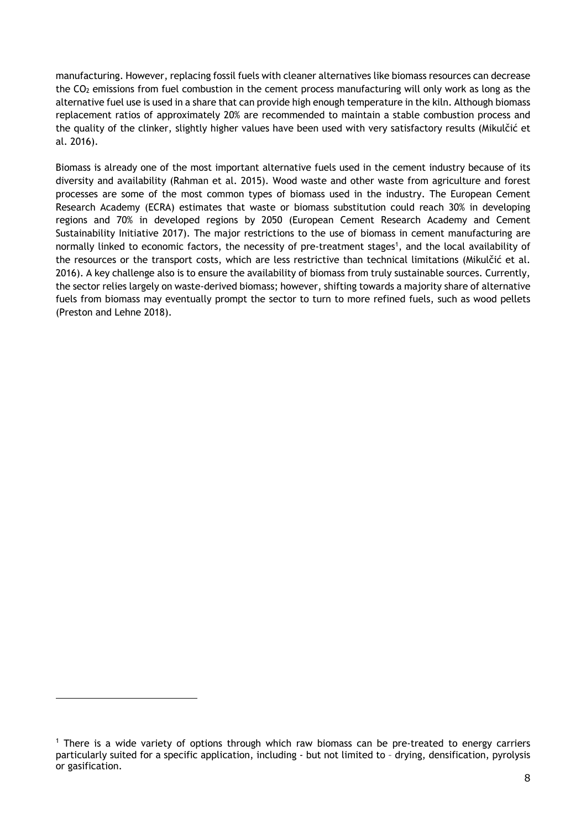manufacturing. However, replacing fossil fuels with cleaner alternatives like biomass resources can decrease the CO2 emissions from fuel combustion in the cement process manufacturing will only work as long as the alternative fuel use is used in a share that can provide high enough temperature in the kiln. Although biomass replacement ratios of approximately 20% are recommended to maintain a stable combustion process and the quality of the clinker, slightly higher values have been used with very satisfactory results (Mikulčić et al. 2016).

Biomass is already one of the most important alternative fuels used in the cement industry because of its diversity and availability (Rahman et al. 2015). Wood waste and other waste from agriculture and forest processes are some of the most common types of biomass used in the industry. The European Cement Research Academy (ECRA) estimates that waste or biomass substitution could reach 30% in developing regions and 70% in developed regions by 2050 (European Cement Research Academy and Cement Sustainability Initiative 2017). The major restrictions to the use of biomass in cement manufacturing are normally linked to economic factors, the necessity of pre-treatment stages<sup>1</sup>, and the local availability of the resources or the transport costs, which are less restrictive than technical limitations (Mikulčić et al. 2016). A key challenge also is to ensure the availability of biomass from truly sustainable sources. Currently, the sector relies largely on waste-derived biomass; however, shifting towards a majority share of alternative fuels from biomass may eventually prompt the sector to turn to more refined fuels, such as wood pellets (Preston and Lehne 2018).

<sup>1</sup> There is a wide variety of options through which raw biomass can be pre-treated to energy carriers particularly suited for a specific application, including - but not limited to – drying, densification, pyrolysis or gasification.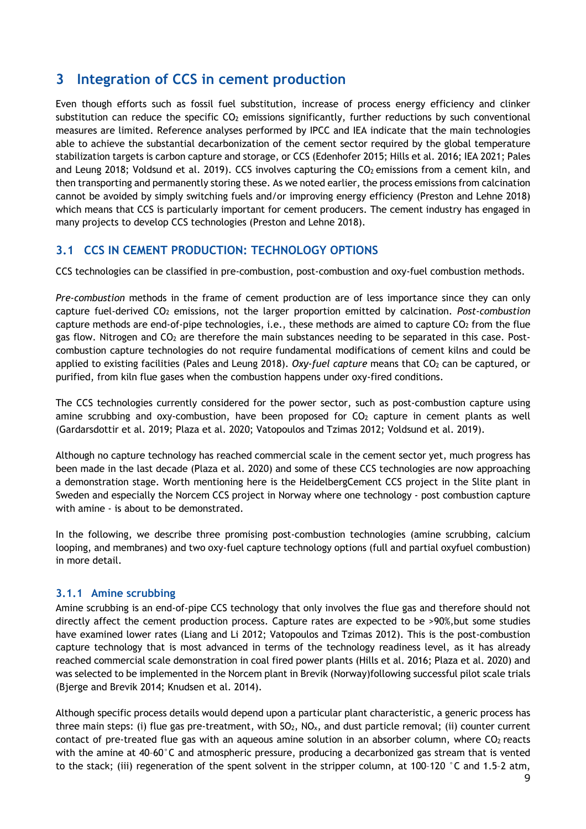# **3 Integration of CCS in cement production**

Even though efforts such as fossil fuel substitution, increase of process energy efficiency and clinker substitution can reduce the specific  $CO<sub>2</sub>$  emissions significantly, further reductions by such conventional measures are limited. Reference analyses performed by IPCC and IEA indicate that the main technologies able to achieve the substantial decarbonization of the cement sector required by the global temperature stabilization targets is carbon capture and storage, or CCS (Edenhofer 2015; Hills et al. 2016; IEA 2021; Pales and Leung 2018; Voldsund et al. 2019). CCS involves capturing the  $CO<sub>2</sub>$  emissions from a cement kiln, and then transporting and permanently storing these. As we noted earlier, the process emissions from calcination cannot be avoided by simply switching fuels and/or improving energy efficiency (Preston and Lehne 2018) which means that CCS is particularly important for cement producers. The cement industry has engaged in many projects to develop CCS technologies (Preston and Lehne 2018).

#### **3.1 CCS IN CEMENT PRODUCTION: TECHNOLOGY OPTIONS**

CCS technologies can be classified in pre-combustion, post-combustion and oxy-fuel combustion methods.

*Pre-combustion* methods in the frame of cement production are of less importance since they can only capture fuel-derived CO2 emissions, not the larger proportion emitted by calcination. *Post-combustion* capture methods are end-of-pipe technologies, i.e., these methods are aimed to capture CO<sub>2</sub> from the flue gas flow. Nitrogen and CO<sub>2</sub> are therefore the main substances needing to be separated in this case. Postcombustion capture technologies do not require fundamental modifications of cement kilns and could be applied to existing facilities (Pales and Leung 2018). *Oxy-fuel capture* means that CO<sub>2</sub> can be captured, or purified, from kiln flue gases when the combustion happens under oxy-fired conditions.

The CCS technologies currently considered for the power sector, such as post-combustion capture using amine scrubbing and oxy-combustion, have been proposed for  $CO<sub>2</sub>$  capture in cement plants as well (Gardarsdottir et al. 2019; Plaza et al. 2020; Vatopoulos and Tzimas 2012; Voldsund et al. 2019).

Although no capture technology has reached commercial scale in the cement sector yet, much progress has been made in the last decade (Plaza et al. 2020) and some of these CCS technologies are now approaching a demonstration stage. Worth mentioning here is the HeidelbergCement CCS project in the Slite plant in Sweden and especially the Norcem CCS project in Norway where one technology - post combustion capture with amine - is about to be demonstrated.

In the following, we describe three promising post-combustion technologies (amine scrubbing, calcium looping, and membranes) and two oxy-fuel capture technology options (full and partial oxyfuel combustion) in more detail.

#### **3.1.1 Amine scrubbing**

Amine scrubbing is an end-of-pipe CCS technology that only involves the flue gas and therefore should not directly affect the cement production process. Capture rates are expected to be >90%,but some studies have examined lower rates (Liang and Li 2012; Vatopoulos and Tzimas 2012). This is the post-combustion capture technology that is most advanced in terms of the technology readiness level, as it has already reached commercial scale demonstration in coal fired power plants (Hills et al. 2016; Plaza et al. 2020) and was selected to be implemented in the Norcem plant in Brevik (Norway)following successful pilot scale trials (Bjerge and Brevik 2014; Knudsen et al. 2014).

Although specific process details would depend upon a particular plant characteristic, a generic process has three main steps: (i) flue gas pre-treatment, with  $SO_2$ ,  $NO_x$ , and dust particle removal; (ii) counter current contact of pre-treated flue gas with an aqueous amine solution in an absorber column, where  $CO<sub>2</sub>$  reacts with the amine at 40–60°C and atmospheric pressure, producing a decarbonized gas stream that is vented to the stack; (iii) regeneration of the spent solvent in the stripper column, at 100–120 °C and 1.5–2 atm,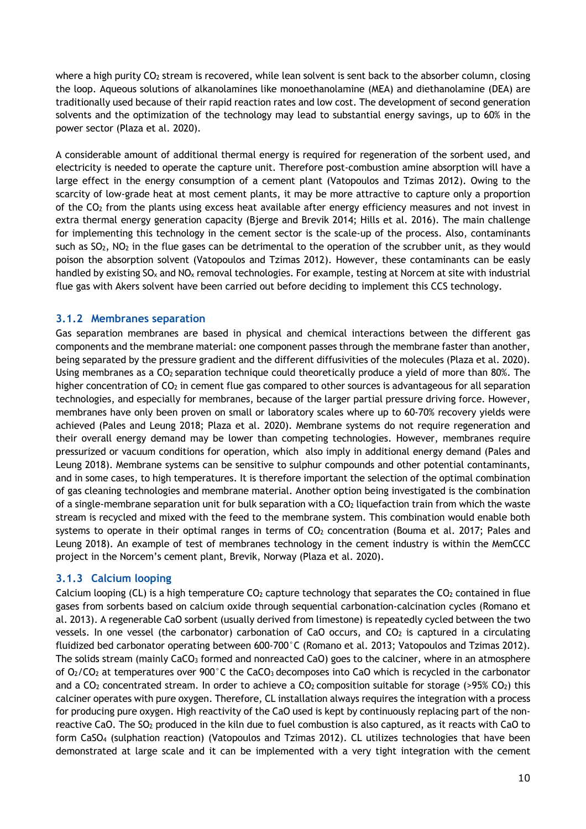where a high purity CO<sub>2</sub> stream is recovered, while lean solvent is sent back to the absorber column, closing the loop. Aqueous solutions of alkanolamines like monoethanolamine (MEA) and diethanolamine (DEA) are traditionally used because of their rapid reaction rates and low cost. The development of second generation solvents and the optimization of the technology may lead to substantial energy savings, up to 60% in the power sector (Plaza et al. 2020).

A considerable amount of additional thermal energy is required for regeneration of the sorbent used, and electricity is needed to operate the capture unit. Therefore post-combustion amine absorption will have a large effect in the energy consumption of a cement plant (Vatopoulos and Tzimas 2012). Owing to the scarcity of low-grade heat at most cement plants, it may be more attractive to capture only a proportion of the CO2 from the plants using excess heat available after energy efficiency measures and not invest in extra thermal energy generation capacity (Bjerge and Brevik 2014; Hills et al. 2016). The main challenge for implementing this technology in the cement sector is the scale-up of the process. Also, contaminants such as SO<sub>2</sub>, NO<sub>2</sub> in the flue gases can be detrimental to the operation of the scrubber unit, as they would poison the absorption solvent (Vatopoulos and Tzimas 2012). However, these contaminants can be easly handled by existing  $SO_x$  and  $NO_x$  removal technologies. For example, testing at Norcem at site with industrial flue gas with Akers solvent have been carried out before deciding to implement this CCS technology.

#### **3.1.2 Membranes separation**

Gas separation membranes are based in physical and chemical interactions between the different gas components and the membrane material: one component passes through the membrane faster than another, being separated by the pressure gradient and the different diffusivities of the molecules (Plaza et al. 2020). Using membranes as a CO<sub>2</sub> separation technique could theoretically produce a yield of more than 80%. The higher concentration of CO<sub>2</sub> in cement flue gas compared to other sources is advantageous for all separation technologies, and especially for membranes, because of the larger partial pressure driving force. However, membranes have only been proven on small or laboratory scales where up to 60-70% recovery yields were achieved (Pales and Leung 2018; Plaza et al. 2020). Membrane systems do not require regeneration and their overall energy demand may be lower than competing technologies. However, membranes require pressurized or vacuum conditions for operation, which also imply in additional energy demand (Pales and Leung 2018). Membrane systems can be sensitive to sulphur compounds and other potential contaminants, and in some cases, to high temperatures. It is therefore important the selection of the optimal combination of gas cleaning technologies and membrane material. Another option being investigated is the combination of a single-membrane separation unit for bulk separation with a CO2 liquefaction train from which the waste stream is recycled and mixed with the feed to the membrane system. This combination would enable both systems to operate in their optimal ranges in terms of CO<sub>2</sub> concentration (Bouma et al. 2017; Pales and Leung 2018). An example of test of membranes technology in the cement industry is within the MemCCC project in the Norcem's cement plant, Brevik, Norway (Plaza et al. 2020).

#### **3.1.3 Calcium looping**

Calcium looping (CL) is a high temperature  $CO<sub>2</sub>$  capture technology that separates the  $CO<sub>2</sub>$  contained in flue gases from sorbents based on calcium oxide through sequential carbonation-calcination cycles (Romano et al. 2013). A regenerable CaO sorbent (usually derived from limestone) is repeatedly cycled between the two vessels. In one vessel (the carbonator) carbonation of CaO occurs, and CO<sub>2</sub> is captured in a circulating fluidized bed carbonator operating between 600-700°C (Romano et al. 2013; Vatopoulos and Tzimas 2012). The solids stream (mainly CaCO<sub>3</sub> formed and nonreacted CaO) goes to the calciner, where in an atmosphere of O<sub>2</sub>/CO<sub>2</sub> at temperatures over 900°C the CaCO<sub>3</sub> decomposes into CaO which is recycled in the carbonator and a  $CO<sub>2</sub>$  concentrated stream. In order to achieve a  $CO<sub>2</sub>$  composition suitable for storage (>95%  $CO<sub>2</sub>$ ) this calciner operates with pure oxygen. Therefore, CL installation always requires the integration with a process for producing pure oxygen. High reactivity of the CaO used is kept by continuously replacing part of the nonreactive CaO. The SO2 produced in the kiln due to fuel combustion is also captured, as it reacts with CaO to form CaSO4 (sulphation reaction) (Vatopoulos and Tzimas 2012). CL utilizes technologies that have been demonstrated at large scale and it can be implemented with a very tight integration with the cement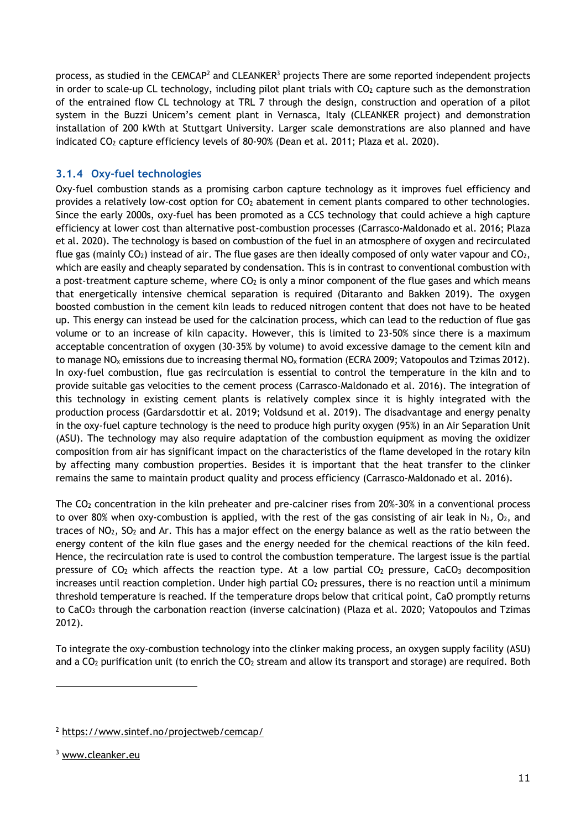process, as studied in the CEMCAP<sup>2</sup> and CLEANKER<sup>3</sup> projects There are some reported independent projects in order to scale-up CL technology, including pilot plant trials with  $CO<sub>2</sub>$  capture such as the demonstration of the entrained flow CL technology at TRL 7 through the design, construction and operation of a pilot system in the Buzzi Unicem's cement plant in Vernasca, Italy (CLEANKER project) and demonstration installation of 200 kWth at Stuttgart University. Larger scale demonstrations are also planned and have indicated CO2 capture efficiency levels of 80-90% (Dean et al. 2011; Plaza et al. 2020).

#### **3.1.4 Oxy-fuel technologies**

Oxy-fuel combustion stands as a promising carbon capture technology as it improves fuel efficiency and provides a relatively low-cost option for  $CO<sub>2</sub>$  abatement in cement plants compared to other technologies. Since the early 2000s, oxy-fuel has been promoted as a CCS technology that could achieve a high capture efficiency at lower cost than alternative post-combustion processes (Carrasco-Maldonado et al. 2016; Plaza et al. 2020). The technology is based on combustion of the fuel in an atmosphere of oxygen and recirculated flue gas (mainly  $CO<sub>2</sub>$ ) instead of air. The flue gases are then ideally composed of only water vapour and  $CO<sub>2</sub>$ , which are easily and cheaply separated by condensation. This is in contrast to conventional combustion with a post-treatment capture scheme, where  $CO<sub>2</sub>$  is only a minor component of the flue gases and which means that energetically intensive chemical separation is required (Ditaranto and Bakken 2019). The oxygen boosted combustion in the cement kiln leads to reduced nitrogen content that does not have to be heated up. This energy can instead be used for the calcination process, which can lead to the reduction of flue gas volume or to an increase of kiln capacity. However, this is limited to 23-50% since there is a maximum acceptable concentration of oxygen (30-35% by volume) to avoid excessive damage to the cement kiln and to manage NO<sub>x</sub> emissions due to increasing thermal NO<sub>x</sub> formation (ECRA 2009; Vatopoulos and Tzimas 2012). In oxy-fuel combustion, flue gas recirculation is essential to control the temperature in the kiln and to provide suitable gas velocities to the cement process (Carrasco-Maldonado et al. 2016). The integration of this technology in existing cement plants is relatively complex since it is highly integrated with the production process (Gardarsdottir et al. 2019; Voldsund et al. 2019). The disadvantage and energy penalty in the oxy-fuel capture technology is the need to produce high purity oxygen (95%) in an Air Separation Unit (ASU). The technology may also require adaptation of the combustion equipment as moving the oxidizer composition from air has significant impact on the characteristics of the flame developed in the rotary kiln by affecting many combustion properties. Besides it is important that the heat transfer to the clinker remains the same to maintain product quality and process efficiency (Carrasco-Maldonado et al. 2016).

The CO<sub>2</sub> concentration in the kiln preheater and pre-calciner rises from 20%-30% in a conventional process to over 80% when oxy-combustion is applied, with the rest of the gas consisting of air leak in N<sub>2</sub>, O<sub>2</sub>, and traces of NO2, SO2 and Ar. This has a major effect on the energy balance as well as the ratio between the energy content of the kiln flue gases and the energy needed for the chemical reactions of the kiln feed. Hence, the recirculation rate is used to control the combustion temperature. The largest issue is the partial pressure of  $CO<sub>2</sub>$  which affects the reaction type. At a low partial  $CO<sub>2</sub>$  pressure, CaCO<sub>3</sub> decomposition increases until reaction completion. Under high partial CO<sub>2</sub> pressures, there is no reaction until a minimum threshold temperature is reached. If the temperature drops below that critical point, CaO promptly returns to CaCO<sub>3</sub> through the carbonation reaction (inverse calcination) (Plaza et al. 2020; Vatopoulos and Tzimas 2012).

To integrate the oxy-combustion technology into the clinker making process, an oxygen supply facility (ASU) and a CO<sub>2</sub> purification unit (to enrich the CO<sub>2</sub> stream and allow its transport and storage) are required. Both

<sup>2</sup> https://www.sintef.no/projectweb/cemcap/

<sup>3</sup> www.cleanker.eu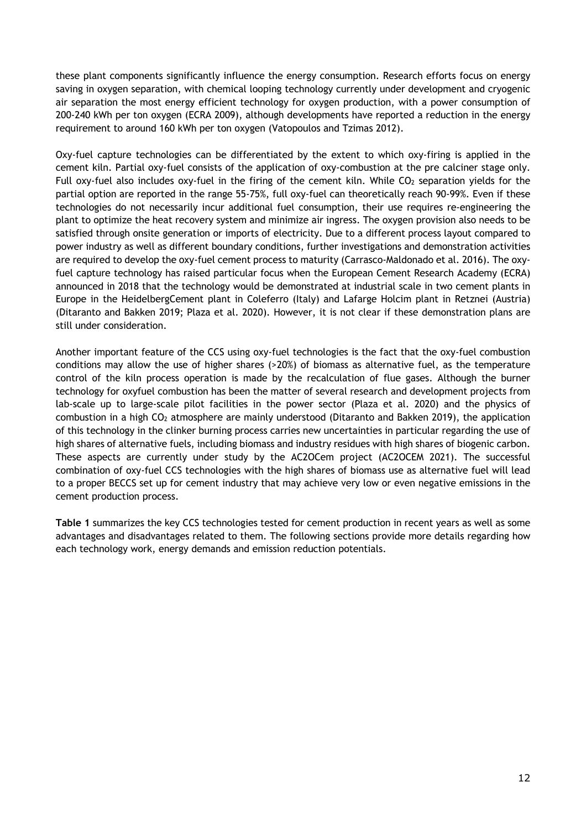these plant components significantly influence the energy consumption. Research efforts focus on energy saving in oxygen separation, with chemical looping technology currently under development and cryogenic air separation the most energy efficient technology for oxygen production, with a power consumption of 200-240 kWh per ton oxygen (ECRA 2009), although developments have reported a reduction in the energy requirement to around 160 kWh per ton oxygen (Vatopoulos and Tzimas 2012).

Oxy-fuel capture technologies can be differentiated by the extent to which oxy-firing is applied in the cement kiln. Partial oxy-fuel consists of the application of oxy-combustion at the pre calciner stage only. Full oxy-fuel also includes oxy-fuel in the firing of the cement kiln. While  $CO<sub>2</sub>$  separation yields for the partial option are reported in the range 55-75%, full oxy-fuel can theoretically reach 90-99%. Even if these technologies do not necessarily incur additional fuel consumption, their use requires re-engineering the plant to optimize the heat recovery system and minimize air ingress. The oxygen provision also needs to be satisfied through onsite generation or imports of electricity. Due to a different process layout compared to power industry as well as different boundary conditions, further investigations and demonstration activities are required to develop the oxy-fuel cement process to maturity (Carrasco-Maldonado et al. 2016). The oxyfuel capture technology has raised particular focus when the European Cement Research Academy (ECRA) announced in 2018 that the technology would be demonstrated at industrial scale in two cement plants in Europe in the HeidelbergCement plant in Coleferro (Italy) and Lafarge Holcim plant in Retznei (Austria) (Ditaranto and Bakken 2019; Plaza et al. 2020). However, it is not clear if these demonstration plans are still under consideration.

Another important feature of the CCS using oxy-fuel technologies is the fact that the oxy-fuel combustion conditions may allow the use of higher shares (>20%) of biomass as alternative fuel, as the temperature control of the kiln process operation is made by the recalculation of flue gases. Although the burner technology for oxyfuel combustion has been the matter of several research and development projects from lab-scale up to large-scale pilot facilities in the power sector (Plaza et al. 2020) and the physics of combustion in a high CO2 atmosphere are mainly understood (Ditaranto and Bakken 2019), the application of this technology in the clinker burning process carries new uncertainties in particular regarding the use of high shares of alternative fuels, including biomass and industry residues with high shares of biogenic carbon. These aspects are currently under study by the AC2OCem project (AC2OCEM 2021). The successful combination of oxy-fuel CCS technologies with the high shares of biomass use as alternative fuel will lead to a proper BECCS set up for cement industry that may achieve very low or even negative emissions in the cement production process.

**Table 1** summarizes the key CCS technologies tested for cement production in recent years as well as some advantages and disadvantages related to them. The following sections provide more details regarding how each technology work, energy demands and emission reduction potentials.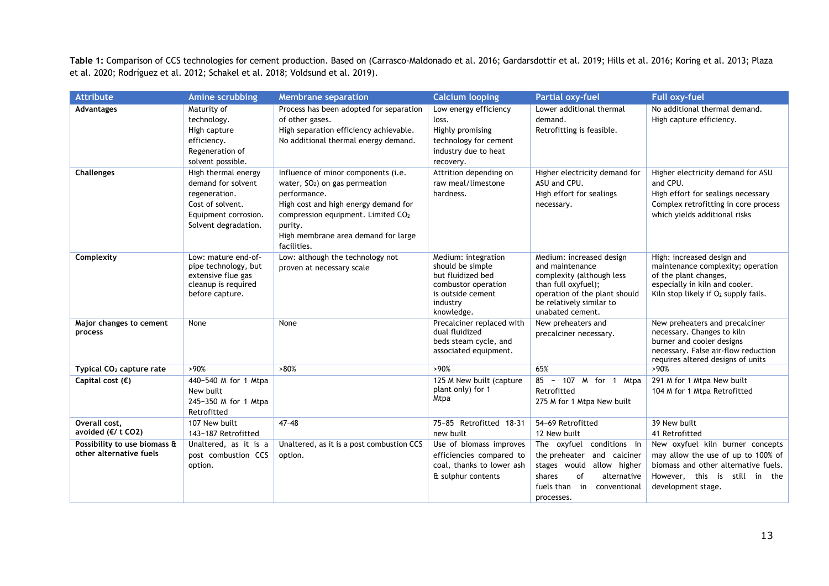**Table 1:** Comparison of CCS technologies for cement production. Based on (Carrasco-Maldonado et al. 2016; Gardarsdottir et al. 2019; Hills et al. 2016; Koring et al. 2013; Plaza et al. 2020; Rodríguez et al. 2012; Schakel et al. 2018; Voldsund et al. 2019).

| <b>Attribute</b>                                        | Amine scrubbing                                                                                                                | <b>Membrane separation</b>                                                                                                                                                                                                                         | <b>Calcium looping</b>                                                                                                             | <b>Partial oxy-fuel</b>                                                                                                                                                          | <b>Full oxy-fuel</b>                                                                                                                                                           |
|---------------------------------------------------------|--------------------------------------------------------------------------------------------------------------------------------|----------------------------------------------------------------------------------------------------------------------------------------------------------------------------------------------------------------------------------------------------|------------------------------------------------------------------------------------------------------------------------------------|----------------------------------------------------------------------------------------------------------------------------------------------------------------------------------|--------------------------------------------------------------------------------------------------------------------------------------------------------------------------------|
| <b>Advantages</b>                                       | Maturity of<br>technology.<br>High capture<br>efficiency.<br>Regeneration of<br>solvent possible.                              | Process has been adopted for separation<br>of other gases.<br>High separation efficiency achievable.<br>No additional thermal energy demand.                                                                                                       | Low energy efficiency<br>loss.<br>Highly promising<br>technology for cement<br>industry due to heat<br>recovery.                   | Lower additional thermal<br>demand.<br>Retrofitting is feasible.                                                                                                                 | No additional thermal demand.<br>High capture efficiency.                                                                                                                      |
| <b>Challenges</b>                                       | High thermal energy<br>demand for solvent<br>regeneration.<br>Cost of solvent.<br>Equipment corrosion.<br>Solvent degradation. | Influence of minor components (i.e.<br>water, $SO2$ ) on gas permeation<br>performance.<br>High cost and high energy demand for<br>compression equipment. Limited CO <sub>2</sub><br>purity.<br>High membrane area demand for large<br>facilities. | Attrition depending on<br>raw meal/limestone<br>hardness.                                                                          | Higher electricity demand for<br>ASU and CPU.<br>High effort for sealings<br>necessary.                                                                                          | Higher electricity demand for ASU<br>and CPU.<br>High effort for sealings necessary<br>Complex retrofitting in core process<br>which yields additional risks                   |
| Complexity                                              | Low: mature end-of-<br>pipe technology, but<br>extensive flue gas<br>cleanup is required<br>before capture.                    | Low: although the technology not<br>proven at necessary scale                                                                                                                                                                                      | Medium: integration<br>should be simple<br>but fluidized bed<br>combustor operation<br>is outside cement<br>industry<br>knowledge. | Medium: increased design<br>and maintenance<br>complexity (although less<br>than full oxyfuel);<br>operation of the plant should<br>be relatively similar to<br>unabated cement. | High: increased design and<br>maintenance complexity; operation<br>of the plant changes,<br>especially in kiln and cooler.<br>Kiln stop likely if O <sub>2</sub> supply fails. |
| Major changes to cement<br>process                      | None                                                                                                                           | None                                                                                                                                                                                                                                               | Precalciner replaced with<br>dual fluidized<br>beds steam cycle, and<br>associated equipment.                                      | New preheaters and<br>precalciner necessary.                                                                                                                                     | New preheaters and precalciner<br>necessary. Changes to kiln<br>burner and cooler designs<br>necessary. False air-flow reduction<br>requires altered designs of units          |
| Typical CO <sub>2</sub> capture rate                    | >90%                                                                                                                           | >80%                                                                                                                                                                                                                                               | >90%                                                                                                                               | 65%                                                                                                                                                                              | >90%                                                                                                                                                                           |
| Capital cost $(\epsilon)$                               | 440-540 M for 1 Mtpa<br>New built<br>245-350 M for 1 Mtpa<br>Retrofitted                                                       |                                                                                                                                                                                                                                                    | 125 M New built (capture<br>plant only) for 1<br>Mtpa                                                                              | 85 - 107 M for 1 Mtpa<br>Retrofitted<br>275 M for 1 Mtpa New built                                                                                                               | 291 M for 1 Mtpa New built<br>104 M for 1 Mtpa Retrofitted                                                                                                                     |
| Overall cost,<br>avoided (€/ t CO2)                     | 107 New built<br>143-187 Retrofitted                                                                                           | $47 - 48$                                                                                                                                                                                                                                          | 75-85 Retrofitted 18-31<br>new built                                                                                               | 54-69 Retrofitted<br>12 New built                                                                                                                                                | 39 New built<br>41 Retrofitted                                                                                                                                                 |
| Possibility to use biomass &<br>other alternative fuels | Unaltered, as it is a<br>post combustion CCS<br>option.                                                                        | Unaltered, as it is a post combustion CCS<br>option.                                                                                                                                                                                               | Use of biomass improves<br>efficiencies compared to<br>coal, thanks to lower ash<br>& sulphur contents                             | The oxyfuel conditions in<br>the preheater and calciner<br>stages would allow higher<br>of<br>alternative<br>shares<br>fuels than<br>in<br>conventional<br>processes.            | New oxyfuel kiln burner concepts<br>may allow the use of up to 100% of<br>biomass and other alternative fuels.<br>However, this is still in the<br>development stage.          |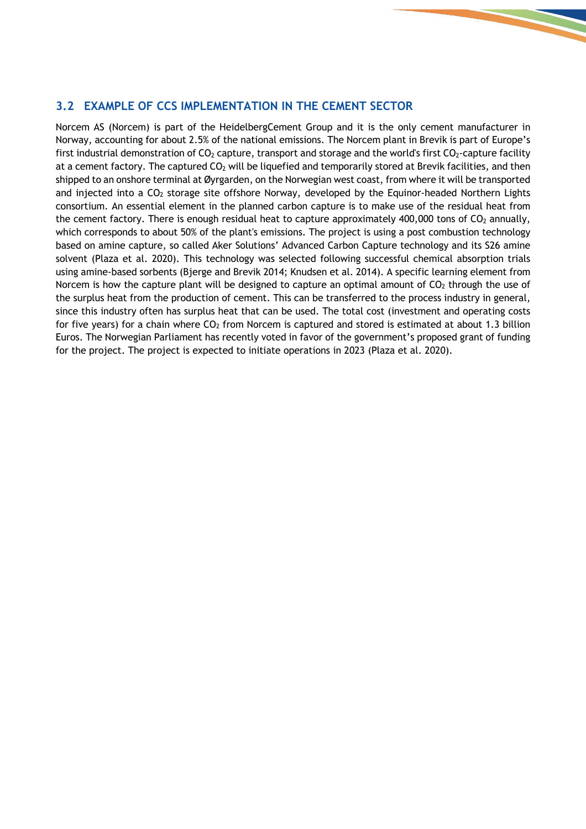#### **3.2 EXAMPLE OF CCS IMPLEMENTATION IN THE CEMENT SECTOR**

Norcem AS (Norcem) is part of the HeidelbergCement Group and it is the only cement manufacturer in Norway, accounting for about 2.5% of the national emissions. The Norcem plant in Brevik is part of Europe's first industrial demonstration of  $CO<sub>2</sub>$  capture, transport and storage and the world's first  $CO<sub>2</sub>$ -capture facility at a cement factory. The captured CO<sub>2</sub> will be liquefied and temporarily stored at Brevik facilities, and then shipped to an onshore terminal at Øyrgarden, on the Norwegian west coast, from where it will be transported and injected into a  $CO<sub>2</sub>$  storage site offshore Norway, developed by the Equinor-headed Northern Lights consortium. An essential element in the planned carbon capture is to make use of the residual heat from the cement factory. There is enough residual heat to capture approximately 400,000 tons of  $CO<sub>2</sub>$  annually, which corresponds to about 50% of the plant's emissions. The project is using a post combustion technology based on amine capture, so called Aker Solutions' Advanced Carbon Capture technology and its S26 amine solvent (Plaza et al. 2020). This technology was selected following successful chemical absorption trials using amine-based sorbents (Bjerge and Brevik 2014; Knudsen et al. 2014). A specific learning element from Norcem is how the capture plant will be designed to capture an optimal amount of  $CO<sub>2</sub>$  through the use of the surplus heat from the production of cement. This can be transferred to the process industry in general, since this industry often has surplus heat that can be used. The total cost (investment and operating costs for five years) for a chain where  $CO<sub>2</sub>$  from Norcem is captured and stored is estimated at about 1.3 billion Euros. The Norwegian Parliament has recently voted in favor of the government's proposed grant of funding for the project. The project is expected to initiate operations in 2023 (Plaza et al. 2020).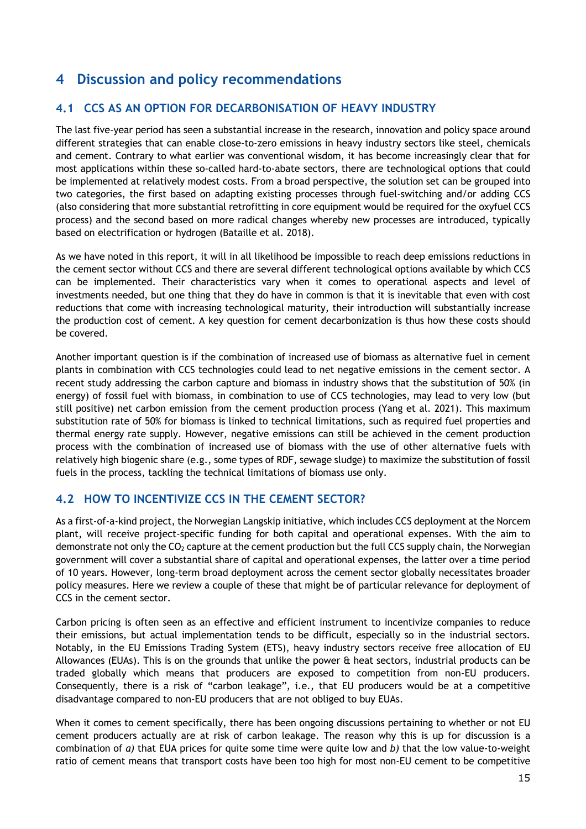# **4 Discussion and policy recommendations**

#### **4.1 CCS AS AN OPTION FOR DECARBONISATION OF HEAVY INDUSTRY**

The last five-year period has seen a substantial increase in the research, innovation and policy space around different strategies that can enable close-to-zero emissions in heavy industry sectors like steel, chemicals and cement. Contrary to what earlier was conventional wisdom, it has become increasingly clear that for most applications within these so-called hard-to-abate sectors, there are technological options that could be implemented at relatively modest costs. From a broad perspective, the solution set can be grouped into two categories, the first based on adapting existing processes through fuel-switching and/or adding CCS (also considering that more substantial retrofitting in core equipment would be required for the oxyfuel CCS process) and the second based on more radical changes whereby new processes are introduced, typically based on electrification or hydrogen (Bataille et al. 2018).

As we have noted in this report, it will in all likelihood be impossible to reach deep emissions reductions in the cement sector without CCS and there are several different technological options available by which CCS can be implemented. Their characteristics vary when it comes to operational aspects and level of investments needed, but one thing that they do have in common is that it is inevitable that even with cost reductions that come with increasing technological maturity, their introduction will substantially increase the production cost of cement. A key question for cement decarbonization is thus how these costs should be covered.

Another important question is if the combination of increased use of biomass as alternative fuel in cement plants in combination with CCS technologies could lead to net negative emissions in the cement sector. A recent study addressing the carbon capture and biomass in industry shows that the substitution of 50% (in energy) of fossil fuel with biomass, in combination to use of CCS technologies, may lead to very low (but still positive) net carbon emission from the cement production process (Yang et al. 2021). This maximum substitution rate of 50% for biomass is linked to technical limitations, such as required fuel properties and thermal energy rate supply. However, negative emissions can still be achieved in the cement production process with the combination of increased use of biomass with the use of other alternative fuels with relatively high biogenic share (e.g., some types of RDF, sewage sludge) to maximize the substitution of fossil fuels in the process, tackling the technical limitations of biomass use only.

#### **4.2 HOW TO INCENTIVIZE CCS IN THE CEMENT SECTOR?**

As a first-of-a-kind project, the Norwegian Langskip initiative, which includes CCS deployment at the Norcem plant, will receive project-specific funding for both capital and operational expenses. With the aim to demonstrate not only the CO<sub>2</sub> capture at the cement production but the full CCS supply chain, the Norwegian government will cover a substantial share of capital and operational expenses, the latter over a time period of 10 years. However, long-term broad deployment across the cement sector globally necessitates broader policy measures. Here we review a couple of these that might be of particular relevance for deployment of CCS in the cement sector.

Carbon pricing is often seen as an effective and efficient instrument to incentivize companies to reduce their emissions, but actual implementation tends to be difficult, especially so in the industrial sectors. Notably, in the EU Emissions Trading System (ETS), heavy industry sectors receive free allocation of EU Allowances (EUAs). This is on the grounds that unlike the power & heat sectors, industrial products can be traded globally which means that producers are exposed to competition from non-EU producers. Consequently, there is a risk of "carbon leakage", i.e., that EU producers would be at a competitive disadvantage compared to non-EU producers that are not obliged to buy EUAs.

When it comes to cement specifically, there has been ongoing discussions pertaining to whether or not EU cement producers actually are at risk of carbon leakage. The reason why this is up for discussion is a combination of *a)* that EUA prices for quite some time were quite low and *b)* that the low value-to-weight ratio of cement means that transport costs have been too high for most non-EU cement to be competitive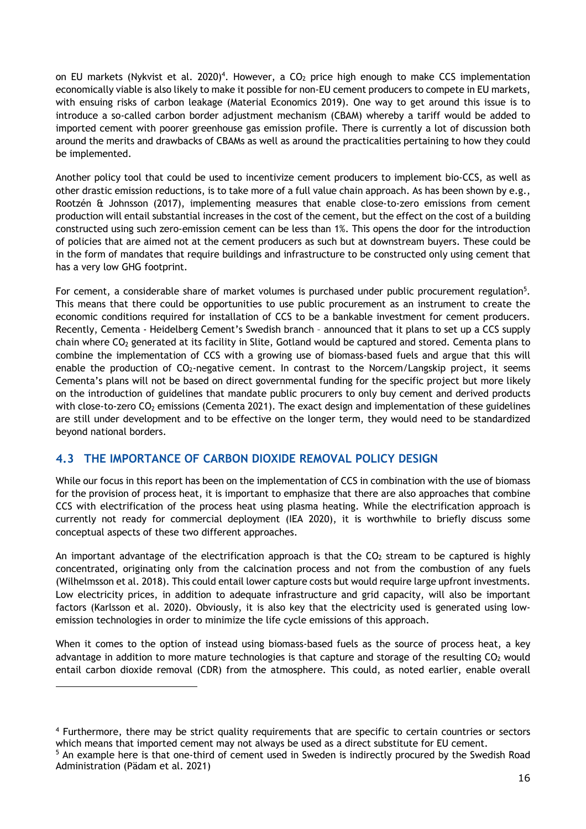on EU markets (Nykvist et al. 2020)<sup>4</sup>. However, a CO<sub>2</sub> price high enough to make CCS implementation economically viable is also likely to make it possible for non-EU cement producers to compete in EU markets, with ensuing risks of carbon leakage (Material Economics 2019). One way to get around this issue is to introduce a so-called carbon border adjustment mechanism (CBAM) whereby a tariff would be added to imported cement with poorer greenhouse gas emission profile. There is currently a lot of discussion both around the merits and drawbacks of CBAMs as well as around the practicalities pertaining to how they could be implemented.

Another policy tool that could be used to incentivize cement producers to implement bio-CCS, as well as other drastic emission reductions, is to take more of a full value chain approach. As has been shown by e.g., Rootzén & Johnsson (2017), implementing measures that enable close-to-zero emissions from cement production will entail substantial increases in the cost of the cement, but the effect on the cost of a building constructed using such zero-emission cement can be less than 1%. This opens the door for the introduction of policies that are aimed not at the cement producers as such but at downstream buyers. These could be in the form of mandates that require buildings and infrastructure to be constructed only using cement that has a very low GHG footprint.

For cement, a considerable share of market volumes is purchased under public procurement regulation<sup>5</sup>. This means that there could be opportunities to use public procurement as an instrument to create the economic conditions required for installation of CCS to be a bankable investment for cement producers. Recently, Cementa - Heidelberg Cement's Swedish branch – announced that it plans to set up a CCS supply chain where CO2 generated at its facility in Slite, Gotland would be captured and stored. Cementa plans to combine the implementation of CCS with a growing use of biomass-based fuels and argue that this will enable the production of  $CO<sub>2</sub>$ -negative cement. In contrast to the Norcem/Langskip project, it seems Cementa's plans will not be based on direct governmental funding for the specific project but more likely on the introduction of guidelines that mandate public procurers to only buy cement and derived products with close-to-zero CO<sub>2</sub> emissions (Cementa 2021). The exact design and implementation of these guidelines are still under development and to be effective on the longer term, they would need to be standardized beyond national borders.

#### **4.3 THE IMPORTANCE OF CARBON DIOXIDE REMOVAL POLICY DESIGN**

While our focus in this report has been on the implementation of CCS in combination with the use of biomass for the provision of process heat, it is important to emphasize that there are also approaches that combine CCS with electrification of the process heat using plasma heating. While the electrification approach is currently not ready for commercial deployment (IEA 2020), it is worthwhile to briefly discuss some conceptual aspects of these two different approaches.

An important advantage of the electrification approach is that the  $CO<sub>2</sub>$  stream to be captured is highly concentrated, originating only from the calcination process and not from the combustion of any fuels (Wilhelmsson et al. 2018). This could entail lower capture costs but would require large upfront investments. Low electricity prices, in addition to adequate infrastructure and grid capacity, will also be important factors (Karlsson et al. 2020). Obviously, it is also key that the electricity used is generated using lowemission technologies in order to minimize the life cycle emissions of this approach.

When it comes to the option of instead using biomass-based fuels as the source of process heat, a key advantage in addition to more mature technologies is that capture and storage of the resulting  $CO<sub>2</sub>$  would entail carbon dioxide removal (CDR) from the atmosphere. This could, as noted earlier, enable overall

<sup>4</sup> Furthermore, there may be strict quality requirements that are specific to certain countries or sectors which means that imported cement may not always be used as a direct substitute for EU cement.

<sup>5</sup> An example here is that one-third of cement used in Sweden is indirectly procured by the Swedish Road Administration (Pädam et al. 2021)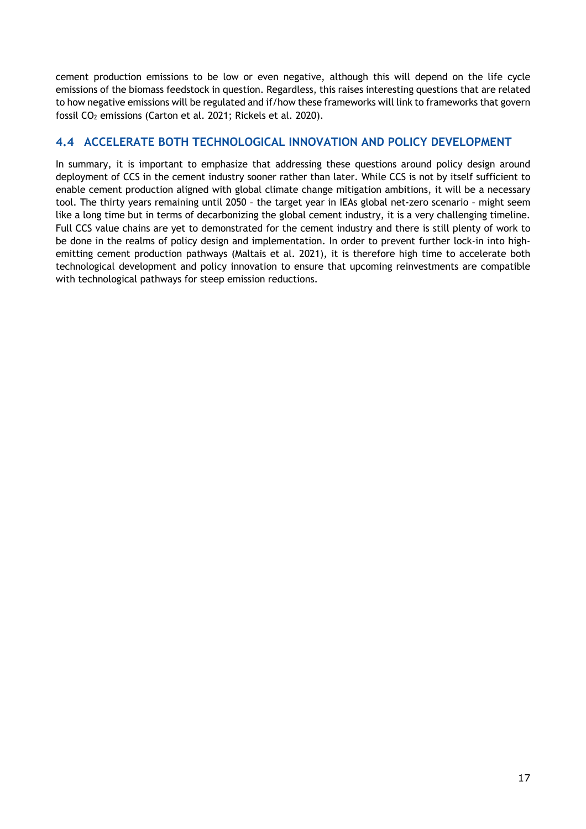cement production emissions to be low or even negative, although this will depend on the life cycle emissions of the biomass feedstock in question. Regardless, this raises interesting questions that are related to how negative emissions will be regulated and if/how these frameworks will link to frameworks that govern fossil CO<sub>2</sub> emissions (Carton et al. 2021; Rickels et al. 2020).

#### **4.4 ACCELERATE BOTH TECHNOLOGICAL INNOVATION AND POLICY DEVELOPMENT**

In summary, it is important to emphasize that addressing these questions around policy design around deployment of CCS in the cement industry sooner rather than later. While CCS is not by itself sufficient to enable cement production aligned with global climate change mitigation ambitions, it will be a necessary tool. The thirty years remaining until 2050 – the target year in IEAs global net-zero scenario – might seem like a long time but in terms of decarbonizing the global cement industry, it is a very challenging timeline. Full CCS value chains are yet to demonstrated for the cement industry and there is still plenty of work to be done in the realms of policy design and implementation. In order to prevent further lock-in into highemitting cement production pathways (Maltais et al. 2021), it is therefore high time to accelerate both technological development and policy innovation to ensure that upcoming reinvestments are compatible with technological pathways for steep emission reductions.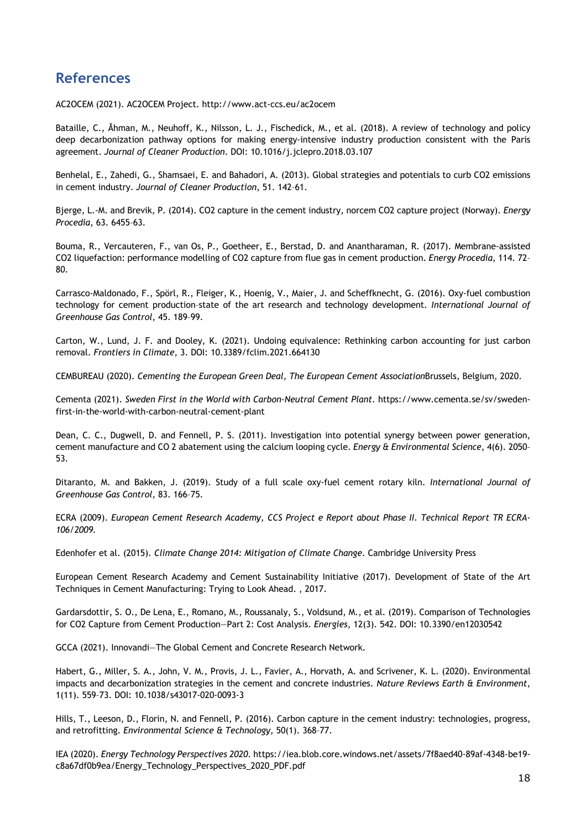# **References**

AC2OCEM (2021). AC2OCEM Project. http://www.act-ccs.eu/ac2ocem

Bataille, C., Åhman, M., Neuhoff, K., Nilsson, L. J., Fischedick, M., et al. (2018). A review of technology and policy deep decarbonization pathway options for making energy-intensive industry production consistent with the Paris agreement. *Journal of Cleaner Production*. DOI: 10.1016/j.jclepro.2018.03.107

Benhelal, E., Zahedi, G., Shamsaei, E. and Bahadori, A. (2013). Global strategies and potentials to curb CO2 emissions in cement industry. *Journal of Cleaner Production*, 51. 142–61.

Bjerge, L.-M. and Brevik, P. (2014). CO2 capture in the cement industry, norcem CO2 capture project (Norway). *Energy Procedia*, 63. 6455–63.

Bouma, R., Vercauteren, F., van Os, P., Goetheer, E., Berstad, D. and Anantharaman, R. (2017). Membrane-assisted CO2 liquefaction: performance modelling of CO2 capture from flue gas in cement production. *Energy Procedia*, 114. 72– 80.

Carrasco-Maldonado, F., Spörl, R., Fleiger, K., Hoenig, V., Maier, J. and Scheffknecht, G. (2016). Oxy-fuel combustion technology for cement production–state of the art research and technology development. *International Journal of Greenhouse Gas Control*, 45. 189–99.

Carton, W., Lund, J. F. and Dooley, K. (2021). Undoing equivalence: Rethinking carbon accounting for just carbon removal. *Frontiers in Climate*, 3. DOI: 10.3389/fclim.2021.664130

CEMBUREAU (2020). *Cementing the European Green Deal, The European Cement Association*Brussels, Belgium, 2020.

Cementa (2021). *Sweden First in the World with Carbon-Neutral Cement Plant*. https://www.cementa.se/sv/swedenfirst-in-the-world-with-carbon-neutral-cement-plant

Dean, C. C., Dugwell, D. and Fennell, P. S. (2011). Investigation into potential synergy between power generation, cement manufacture and CO 2 abatement using the calcium looping cycle. *Energy & Environmental Science*, 4(6). 2050– 53.

Ditaranto, M. and Bakken, J. (2019). Study of a full scale oxy-fuel cement rotary kiln. *International Journal of Greenhouse Gas Control*, 83. 166–75.

ECRA (2009). *European Cement Research Academy, CCS Project e Report about Phase II. Technical Report TR ECRA-106/2009.*

Edenhofer et al. (2015). *Climate Change 2014: Mitigation of Climate Change*. Cambridge University Press

European Cement Research Academy and Cement Sustainability Initiative (2017). Development of State of the Art Techniques in Cement Manufacturing: Trying to Look Ahead. , 2017.

Gardarsdottir, S. O., De Lena, E., Romano, M., Roussanaly, S., Voldsund, M., et al. (2019). Comparison of Technologies for CO2 Capture from Cement Production—Part 2: Cost Analysis. *Energies*, 12(3). 542. DOI: 10.3390/en12030542

GCCA (2021). Innovandi—The Global Cement and Concrete Research Network.

Habert, G., Miller, S. A., John, V. M., Provis, J. L., Favier, A., Horvath, A. and Scrivener, K. L. (2020). Environmental impacts and decarbonization strategies in the cement and concrete industries. *Nature Reviews Earth & Environment*, 1(11). 559–73. DOI: 10.1038/s43017-020-0093-3

Hills, T., Leeson, D., Florin, N. and Fennell, P. (2016). Carbon capture in the cement industry: technologies, progress, and retrofitting. *Environmental Science & Technology*, 50(1). 368–77.

IEA (2020). *Energy Technology Perspectives 2020*. https://iea.blob.core.windows.net/assets/7f8aed40-89af-4348-be19 c8a67df0b9ea/Energy\_Technology\_Perspectives\_2020\_PDF.pdf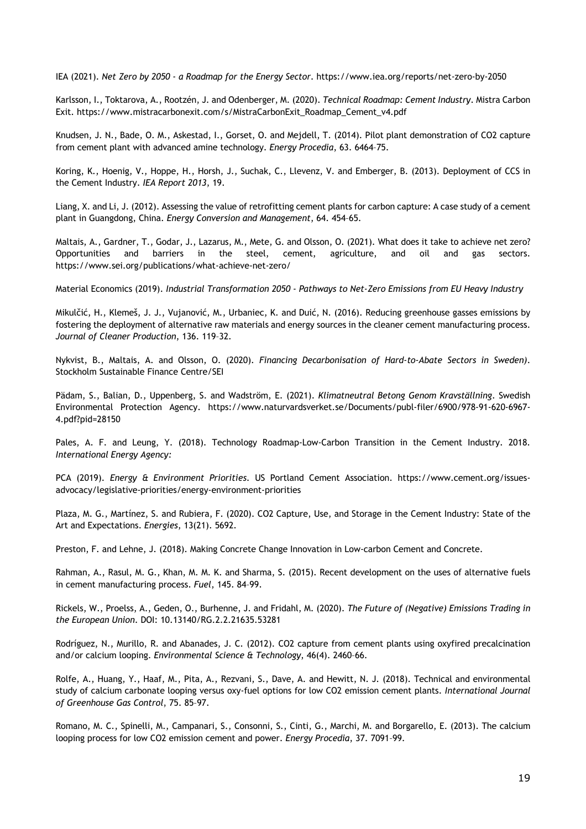IEA (2021). *Net Zero by 2050 - a Roadmap for the Energy Sector*. https://www.iea.org/reports/net-zero-by-2050

Karlsson, I., Toktarova, A., Rootzén, J. and Odenberger, M. (2020). *Technical Roadmap: Cement Industry*. Mistra Carbon Exit. https://www.mistracarbonexit.com/s/MistraCarbonExit\_Roadmap\_Cement\_v4.pdf

Knudsen, J. N., Bade, O. M., Askestad, I., Gorset, O. and Mejdell, T. (2014). Pilot plant demonstration of CO2 capture from cement plant with advanced amine technology. *Energy Procedia*, 63. 6464–75.

Koring, K., Hoenig, V., Hoppe, H., Horsh, J., Suchak, C., Llevenz, V. and Emberger, B. (2013). Deployment of CCS in the Cement Industry. *IEA Report 2013*, 19.

Liang, X. and Li, J. (2012). Assessing the value of retrofitting cement plants for carbon capture: A case study of a cement plant in Guangdong, China. *Energy Conversion and Management*, 64. 454–65.

Maltais, A., Gardner, T., Godar, J., Lazarus, M., Mete, G. and Olsson, O. (2021). What does it take to achieve net zero? Opportunities and barriers in the steel, cement, agriculture, and oil and gas sectors. https://www.sei.org/publications/what-achieve-net-zero/

Material Economics (2019). *Industrial Transformation 2050 - Pathways to Net-Zero Emissions from EU Heavy Industry*

Mikulčić, H., Klemeš, J. J., Vujanović, M., Urbaniec, K. and Duić, N. (2016). Reducing greenhouse gasses emissions by fostering the deployment of alternative raw materials and energy sources in the cleaner cement manufacturing process. *Journal of Cleaner Production*, 136. 119–32.

Nykvist, B., Maltais, A. and Olsson, O. (2020). *Financing Decarbonisation of Hard-to-Abate Sectors in Sweden)*. Stockholm Sustainable Finance Centre/SEI

Pädam, S., Balian, D., Uppenberg, S. and Wadström, E. (2021). *Klimatneutral Betong Genom Kravställning*. Swedish Environmental Protection Agency. https://www.naturvardsverket.se/Documents/publ-filer/6900/978-91-620-6967- 4.pdf?pid=28150

Pales, A. F. and Leung, Y. (2018). Technology Roadmap-Low-Carbon Transition in the Cement Industry. 2018. *International Energy Agency:*

PCA (2019). *Energy & Environment Priorities*. US Portland Cement Association. https://www.cement.org/issuesadvocacy/legislative-priorities/energy-environment-priorities

Plaza, M. G., Martínez, S. and Rubiera, F. (2020). CO2 Capture, Use, and Storage in the Cement Industry: State of the Art and Expectations. *Energies*, 13(21). 5692.

Preston, F. and Lehne, J. (2018). Making Concrete Change Innovation in Low-carbon Cement and Concrete.

Rahman, A., Rasul, M. G., Khan, M. M. K. and Sharma, S. (2015). Recent development on the uses of alternative fuels in cement manufacturing process. *Fuel*, 145. 84–99.

Rickels, W., Proelss, A., Geden, O., Burhenne, J. and Fridahl, M. (2020). *The Future of (Negative) Emissions Trading in the European Union*. DOI: 10.13140/RG.2.2.21635.53281

Rodríguez, N., Murillo, R. and Abanades, J. C. (2012). CO2 capture from cement plants using oxyfired precalcination and/or calcium looping. *Environmental Science & Technology*, 46(4). 2460–66.

Rolfe, A., Huang, Y., Haaf, M., Pita, A., Rezvani, S., Dave, A. and Hewitt, N. J. (2018). Technical and environmental study of calcium carbonate looping versus oxy-fuel options for low CO2 emission cement plants. *International Journal of Greenhouse Gas Control*, 75. 85–97.

Romano, M. C., Spinelli, M., Campanari, S., Consonni, S., Cinti, G., Marchi, M. and Borgarello, E. (2013). The calcium looping process for low CO2 emission cement and power. *Energy Procedia*, 37. 7091–99.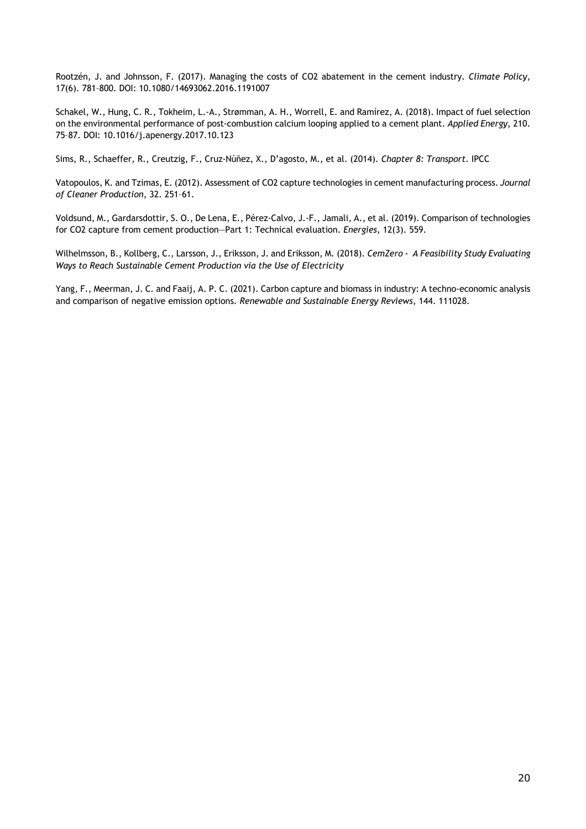Rootzén, J. and Johnsson, F. (2017). Managing the costs of CO2 abatement in the cement industry. *Climate Policy*, 17(6). 781–800. DOI: 10.1080/14693062.2016.1191007

Schakel, W., Hung, C. R., Tokheim, L.-A., Strømman, A. H., Worrell, E. and Ramírez, A. (2018). Impact of fuel selection on the environmental performance of post-combustion calcium looping applied to a cement plant. *Applied Energy*, 210. 75–87. DOI: 10.1016/j.apenergy.2017.10.123

Sims, R., Schaeffer, R., Creutzig, F., Cruz-Núñez, X., D'agosto, M., et al. (2014). *Chapter 8: Transport*. IPCC

Vatopoulos, K. and Tzimas, E. (2012). Assessment of CO2 capture technologies in cement manufacturing process. *Journal of Cleaner Production*, 32. 251–61.

Voldsund, M., Gardarsdottir, S. O., De Lena, E., Pérez-Calvo, J.-F., Jamali, A., et al. (2019). Comparison of technologies for CO2 capture from cement production—Part 1: Technical evaluation. *Energies*, 12(3). 559.

Wilhelmsson, B., Kollberg, C., Larsson, J., Eriksson, J. and Eriksson, M. (2018). *CemZero - A Feasibility Study Evaluating Ways to Reach Sustainable Cement Production via the Use of Electricity*

Yang, F., Meerman, J. C. and Faaij, A. P. C. (2021). Carbon capture and biomass in industry: A techno-economic analysis and comparison of negative emission options. *Renewable and Sustainable Energy Reviews*, 144. 111028.